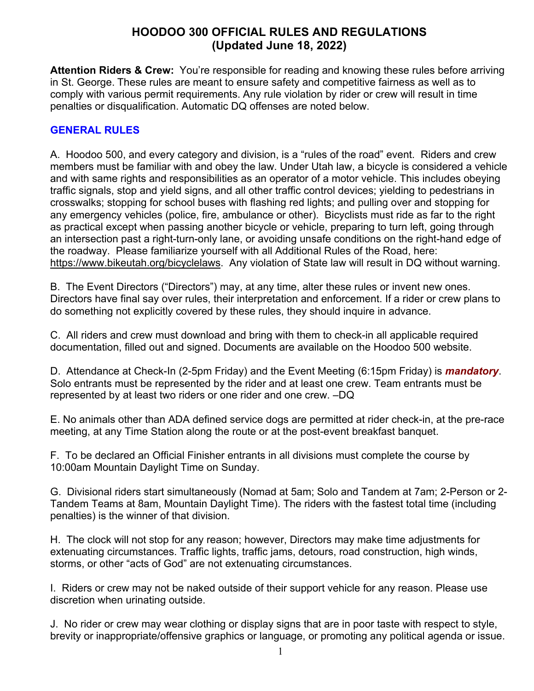# **HOODOO 300 OFFICIAL RULES AND REGULATIONS (Updated June 18, 2022)**

**Attention Riders & Crew:** You're responsible for reading and knowing these rules before arriving in St. George. These rules are meant to ensure safety and competitive fairness as well as to comply with various permit requirements. Any rule violation by rider or crew will result in time penalties or disqualification. Automatic DQ offenses are noted below.

#### **GENERAL RULES**

A. Hoodoo 500, and every category and division, is a "rules of the road" event. Riders and crew members must be familiar with and obey the law. Under Utah law, a bicycle is considered a vehicle and with same rights and responsibilities as an operator of a motor vehicle. This includes obeying traffic signals, stop and yield signs, and all other traffic control devices; yielding to pedestrians in crosswalks; stopping for school buses with flashing red lights; and pulling over and stopping for any emergency vehicles (police, fire, ambulance or other). Bicyclists must ride as far to the right as practical except when passing another bicycle or vehicle, preparing to turn left, going through an intersection past a right-turn-only lane, or avoiding unsafe conditions on the right-hand edge of the roadway. Please familiarize yourself with all Additional Rules of the Road, here: https://www.bikeutah.org/bicyclelaws. Any violation of State law will result in DQ without warning.

B. The Event Directors ("Directors") may, at any time, alter these rules or invent new ones. Directors have final say over rules, their interpretation and enforcement. If a rider or crew plans to do something not explicitly covered by these rules, they should inquire in advance.

C. All riders and crew must download and bring with them to check-in all applicable required documentation, filled out and signed. Documents are available on the Hoodoo 500 website.

D. Attendance at Check-In (2-5pm Friday) and the Event Meeting (6:15pm Friday) is *mandatory*. Solo entrants must be represented by the rider and at least one crew. Team entrants must be represented by at least two riders or one rider and one crew. –DQ

E. No animals other than ADA defined service dogs are permitted at rider check-in, at the pre-race meeting, at any Time Station along the route or at the post-event breakfast banquet.

F. To be declared an Official Finisher entrants in all divisions must complete the course by 10:00am Mountain Daylight Time on Sunday.

G. Divisional riders start simultaneously (Nomad at 5am; Solo and Tandem at 7am; 2-Person or 2- Tandem Teams at 8am, Mountain Daylight Time). The riders with the fastest total time (including penalties) is the winner of that division.

H. The clock will not stop for any reason; however, Directors may make time adjustments for extenuating circumstances. Traffic lights, traffic jams, detours, road construction, high winds, storms, or other "acts of God" are not extenuating circumstances.

I. Riders or crew may not be naked outside of their support vehicle for any reason. Please use discretion when urinating outside.

J. No rider or crew may wear clothing or display signs that are in poor taste with respect to style, brevity or inappropriate/offensive graphics or language, or promoting any political agenda or issue.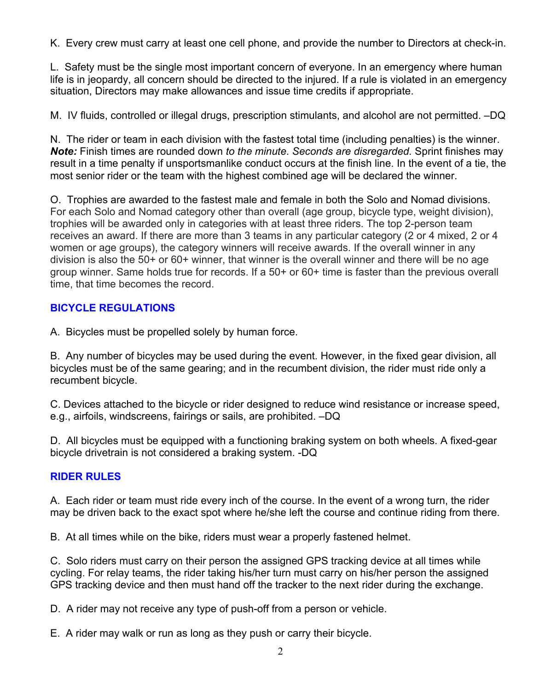K. Every crew must carry at least one cell phone, and provide the number to Directors at check-in.

L. Safety must be the single most important concern of everyone. In an emergency where human life is in jeopardy, all concern should be directed to the injured. If a rule is violated in an emergency situation, Directors may make allowances and issue time credits if appropriate.

M. IV fluids, controlled or illegal drugs, prescription stimulants, and alcohol are not permitted. –DQ

N. The rider or team in each division with the fastest total time (including penalties) is the winner. *Note:* Finish times are rounded down *to the minute*. *Seconds are disregarded.* Sprint finishes may result in a time penalty if unsportsmanlike conduct occurs at the finish line. In the event of a tie, the most senior rider or the team with the highest combined age will be declared the winner.

O. Trophies are awarded to the fastest male and female in both the Solo and Nomad divisions. For each Solo and Nomad category other than overall (age group, bicycle type, weight division), trophies will be awarded only in categories with at least three riders. The top 2-person team receives an award. If there are more than 3 teams in any particular category (2 or 4 mixed, 2 or 4 women or age groups), the category winners will receive awards. If the overall winner in any division is also the 50+ or 60+ winner, that winner is the overall winner and there will be no age group winner. Same holds true for records. If a 50+ or 60+ time is faster than the previous overall time, that time becomes the record.

# **BICYCLE REGULATIONS**

A. Bicycles must be propelled solely by human force.

B. Any number of bicycles may be used during the event. However, in the fixed gear division, all bicycles must be of the same gearing; and in the recumbent division, the rider must ride only a recumbent bicycle.

C. Devices attached to the bicycle or rider designed to reduce wind resistance or increase speed, e.g., airfoils, windscreens, fairings or sails, are prohibited. –DQ

D. All bicycles must be equipped with a functioning braking system on both wheels. A fixed-gear bicycle drivetrain is not considered a braking system. -DQ

# **RIDER RULES**

A. Each rider or team must ride every inch of the course. In the event of a wrong turn, the rider may be driven back to the exact spot where he/she left the course and continue riding from there.

B. At all times while on the bike, riders must wear a properly fastened helmet.

C. Solo riders must carry on their person the assigned GPS tracking device at all times while cycling. For relay teams, the rider taking his/her turn must carry on his/her person the assigned GPS tracking device and then must hand off the tracker to the next rider during the exchange.

D. A rider may not receive any type of push-off from a person or vehicle.

E. A rider may walk or run as long as they push or carry their bicycle.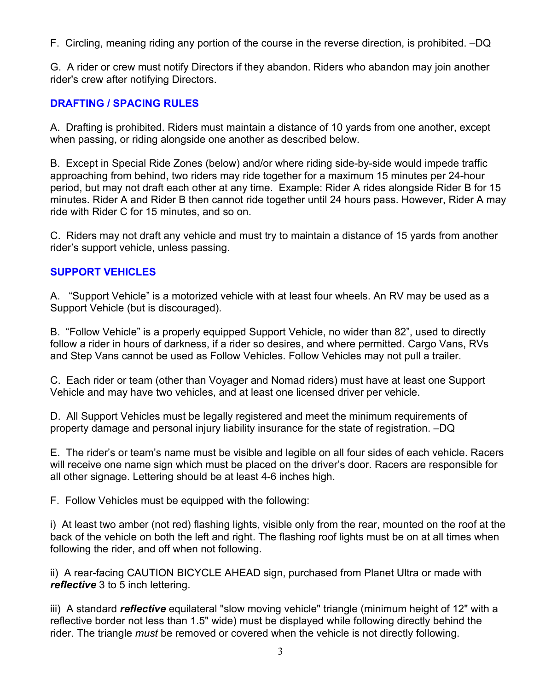F. Circling, meaning riding any portion of the course in the reverse direction, is prohibited. –DQ

G. A rider or crew must notify Directors if they abandon. Riders who abandon may join another rider's crew after notifying Directors.

### **DRAFTING / SPACING RULES**

A. Drafting is prohibited. Riders must maintain a distance of 10 yards from one another, except when passing, or riding alongside one another as described below.

B. Except in Special Ride Zones (below) and/or where riding side-by-side would impede traffic approaching from behind, two riders may ride together for a maximum 15 minutes per 24-hour period, but may not draft each other at any time. Example: Rider A rides alongside Rider B for 15 minutes. Rider A and Rider B then cannot ride together until 24 hours pass. However, Rider A may ride with Rider C for 15 minutes, and so on.

C. Riders may not draft any vehicle and must try to maintain a distance of 15 yards from another rider's support vehicle, unless passing.

### **SUPPORT VEHICLES**

A. "Support Vehicle" is a motorized vehicle with at least four wheels. An RV may be used as a Support Vehicle (but is discouraged).

B. "Follow Vehicle" is a properly equipped Support Vehicle, no wider than 82", used to directly follow a rider in hours of darkness, if a rider so desires, and where permitted. Cargo Vans, RVs and Step Vans cannot be used as Follow Vehicles. Follow Vehicles may not pull a trailer.

C. Each rider or team (other than Voyager and Nomad riders) must have at least one Support Vehicle and may have two vehicles, and at least one licensed driver per vehicle.

D. All Support Vehicles must be legally registered and meet the minimum requirements of property damage and personal injury liability insurance for the state of registration. –DQ

E. The rider's or team's name must be visible and legible on all four sides of each vehicle. Racers will receive one name sign which must be placed on the driver's door. Racers are responsible for all other signage. Lettering should be at least 4-6 inches high.

F. Follow Vehicles must be equipped with the following:

i) At least two amber (not red) flashing lights, visible only from the rear, mounted on the roof at the back of the vehicle on both the left and right. The flashing roof lights must be on at all times when following the rider, and off when not following.

ii) A rear-facing CAUTION BICYCLE AHEAD sign, purchased from Planet Ultra or made with *reflective* 3 to 5 inch lettering.

iii) A standard *reflective* equilateral "slow moving vehicle" triangle (minimum height of 12" with a reflective border not less than 1.5" wide) must be displayed while following directly behind the rider. The triangle *must* be removed or covered when the vehicle is not directly following.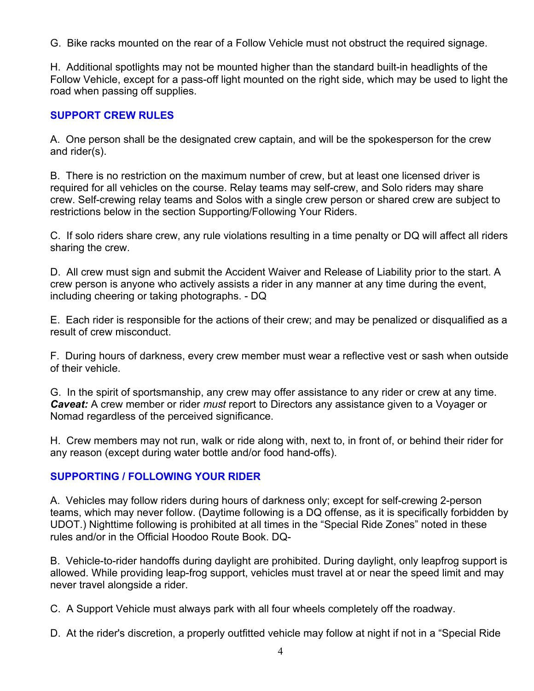G. Bike racks mounted on the rear of a Follow Vehicle must not obstruct the required signage.

H. Additional spotlights may not be mounted higher than the standard built-in headlights of the Follow Vehicle, except for a pass-off light mounted on the right side, which may be used to light the road when passing off supplies.

### **SUPPORT CREW RULES**

A. One person shall be the designated crew captain, and will be the spokesperson for the crew and rider(s).

B. There is no restriction on the maximum number of crew, but at least one licensed driver is required for all vehicles on the course. Relay teams may self-crew, and Solo riders may share crew. Self-crewing relay teams and Solos with a single crew person or shared crew are subject to restrictions below in the section Supporting/Following Your Riders.

C. If solo riders share crew, any rule violations resulting in a time penalty or DQ will affect all riders sharing the crew.

D. All crew must sign and submit the Accident Waiver and Release of Liability prior to the start. A crew person is anyone who actively assists a rider in any manner at any time during the event, including cheering or taking photographs. - DQ

E. Each rider is responsible for the actions of their crew; and may be penalized or disqualified as a result of crew misconduct.

F. During hours of darkness, every crew member must wear a reflective vest or sash when outside of their vehicle.

G. In the spirit of sportsmanship, any crew may offer assistance to any rider or crew at any time. *Caveat:* A crew member or rider *must* report to Directors any assistance given to a Voyager or Nomad regardless of the perceived significance.

H. Crew members may not run, walk or ride along with, next to, in front of, or behind their rider for any reason (except during water bottle and/or food hand-offs).

# **SUPPORTING / FOLLOWING YOUR RIDER**

A. Vehicles may follow riders during hours of darkness only; except for self-crewing 2-person teams, which may never follow. (Daytime following is a DQ offense, as it is specifically forbidden by UDOT.) Nighttime following is prohibited at all times in the "Special Ride Zones" noted in these rules and/or in the Official Hoodoo Route Book. DQ-

B. Vehicle-to-rider handoffs during daylight are prohibited. During daylight, only leapfrog support is allowed. While providing leap-frog support, vehicles must travel at or near the speed limit and may never travel alongside a rider.

C. A Support Vehicle must always park with all four wheels completely off the roadway.

D. At the rider's discretion, a properly outfitted vehicle may follow at night if not in a "Special Ride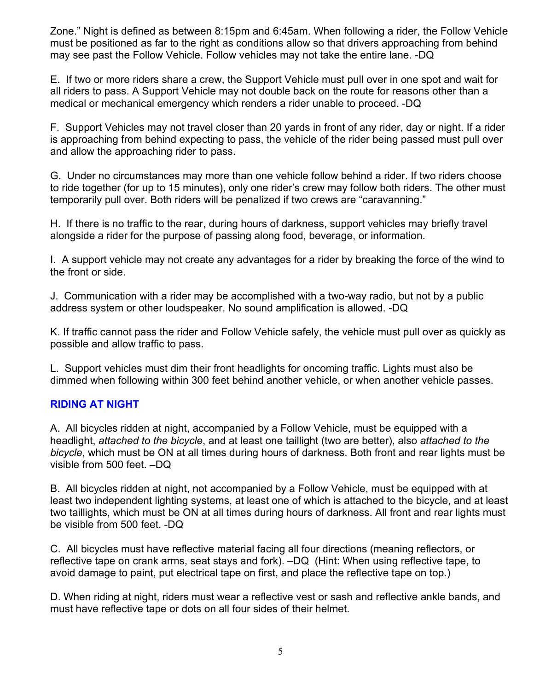Zone." Night is defined as between 8:15pm and 6:45am. When following a rider, the Follow Vehicle must be positioned as far to the right as conditions allow so that drivers approaching from behind may see past the Follow Vehicle. Follow vehicles may not take the entire lane. -DQ

E. If two or more riders share a crew, the Support Vehicle must pull over in one spot and wait for all riders to pass. A Support Vehicle may not double back on the route for reasons other than a medical or mechanical emergency which renders a rider unable to proceed. -DQ

F. Support Vehicles may not travel closer than 20 yards in front of any rider, day or night. If a rider is approaching from behind expecting to pass, the vehicle of the rider being passed must pull over and allow the approaching rider to pass.

G. Under no circumstances may more than one vehicle follow behind a rider. If two riders choose to ride together (for up to 15 minutes), only one rider's crew may follow both riders. The other must temporarily pull over. Both riders will be penalized if two crews are "caravanning."

H. If there is no traffic to the rear, during hours of darkness, support vehicles may briefly travel alongside a rider for the purpose of passing along food, beverage, or information.

I. A support vehicle may not create any advantages for a rider by breaking the force of the wind to the front or side.

J. Communication with a rider may be accomplished with a two-way radio, but not by a public address system or other loudspeaker. No sound amplification is allowed. -DQ

K. If traffic cannot pass the rider and Follow Vehicle safely, the vehicle must pull over as quickly as possible and allow traffic to pass.

L. Support vehicles must dim their front headlights for oncoming traffic. Lights must also be dimmed when following within 300 feet behind another vehicle, or when another vehicle passes.

### **RIDING AT NIGHT**

A. All bicycles ridden at night, accompanied by a Follow Vehicle, must be equipped with a headlight, *attached to the bicycle*, and at least one taillight (two are better), also *attached to the bicycle*, which must be ON at all times during hours of darkness. Both front and rear lights must be visible from 500 feet. –DQ

B. All bicycles ridden at night, not accompanied by a Follow Vehicle, must be equipped with at least two independent lighting systems, at least one of which is attached to the bicycle, and at least two taillights, which must be ON at all times during hours of darkness. All front and rear lights must be visible from 500 feet. -DQ

C. All bicycles must have reflective material facing all four directions (meaning reflectors, or reflective tape on crank arms, seat stays and fork). –DQ (Hint: When using reflective tape, to avoid damage to paint, put electrical tape on first, and place the reflective tape on top.)

D. When riding at night, riders must wear a reflective vest or sash and reflective ankle bands, and must have reflective tape or dots on all four sides of their helmet.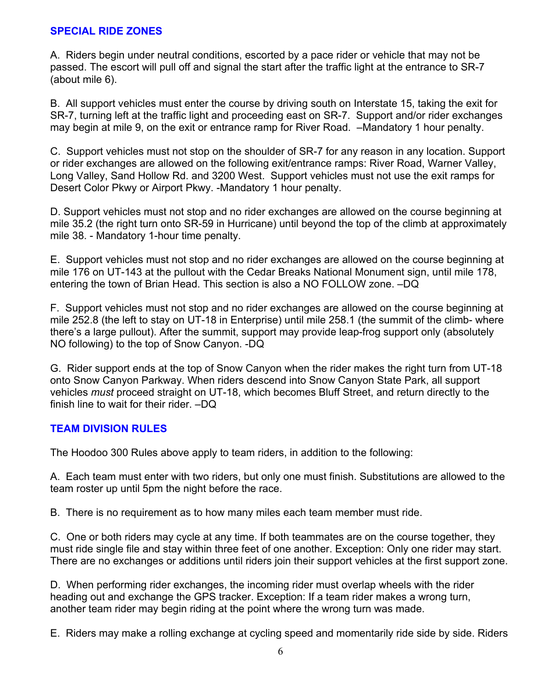#### **SPECIAL RIDE ZONES**

A. Riders begin under neutral conditions, escorted by a pace rider or vehicle that may not be passed. The escort will pull off and signal the start after the traffic light at the entrance to SR-7 (about mile 6).

B. All support vehicles must enter the course by driving south on Interstate 15, taking the exit for SR-7, turning left at the traffic light and proceeding east on SR-7. Support and/or rider exchanges may begin at mile 9, on the exit or entrance ramp for River Road. –Mandatory 1 hour penalty.

C. Support vehicles must not stop on the shoulder of SR-7 for any reason in any location. Support or rider exchanges are allowed on the following exit/entrance ramps: River Road, Warner Valley, Long Valley, Sand Hollow Rd. and 3200 West. Support vehicles must not use the exit ramps for Desert Color Pkwy or Airport Pkwy. -Mandatory 1 hour penalty.

D. Support vehicles must not stop and no rider exchanges are allowed on the course beginning at mile 35.2 (the right turn onto SR-59 in Hurricane) until beyond the top of the climb at approximately mile 38. - Mandatory 1-hour time penalty.

E. Support vehicles must not stop and no rider exchanges are allowed on the course beginning at mile 176 on UT-143 at the pullout with the Cedar Breaks National Monument sign, until mile 178, entering the town of Brian Head. This section is also a NO FOLLOW zone. –DQ

F. Support vehicles must not stop and no rider exchanges are allowed on the course beginning at mile 252.8 (the left to stay on UT-18 in Enterprise) until mile 258.1 (the summit of the climb- where there's a large pullout). After the summit, support may provide leap-frog support only (absolutely NO following) to the top of Snow Canyon. -DQ

G. Rider support ends at the top of Snow Canyon when the rider makes the right turn from UT-18 onto Snow Canyon Parkway. When riders descend into Snow Canyon State Park, all support vehicles *must* proceed straight on UT-18, which becomes Bluff Street, and return directly to the finish line to wait for their rider. –DQ

### **TEAM DIVISION RULES**

The Hoodoo 300 Rules above apply to team riders, in addition to the following:

A. Each team must enter with two riders, but only one must finish. Substitutions are allowed to the team roster up until 5pm the night before the race.

B. There is no requirement as to how many miles each team member must ride.

C. One or both riders may cycle at any time. If both teammates are on the course together, they must ride single file and stay within three feet of one another. Exception: Only one rider may start. There are no exchanges or additions until riders join their support vehicles at the first support zone.

D. When performing rider exchanges, the incoming rider must overlap wheels with the rider heading out and exchange the GPS tracker. Exception: If a team rider makes a wrong turn, another team rider may begin riding at the point where the wrong turn was made.

E. Riders may make a rolling exchange at cycling speed and momentarily ride side by side. Riders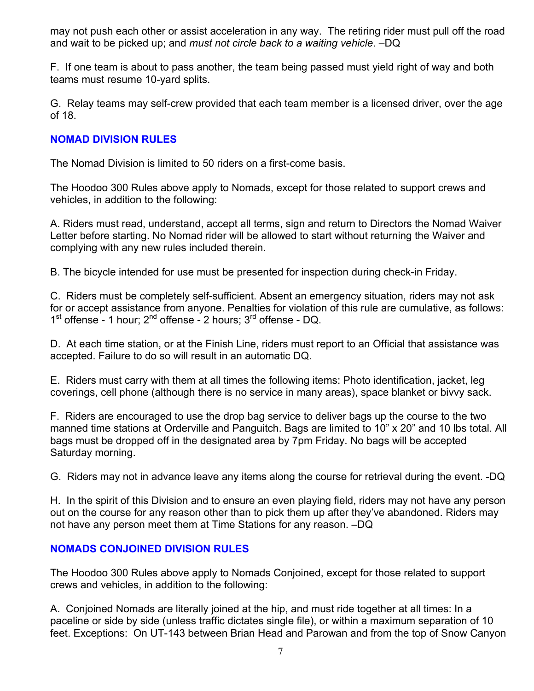may not push each other or assist acceleration in any way. The retiring rider must pull off the road and wait to be picked up; and *must not circle back to a waiting vehicle*. –DQ

F. If one team is about to pass another, the team being passed must yield right of way and both teams must resume 10-yard splits.

G. Relay teams may self-crew provided that each team member is a licensed driver, over the age of 18.

### **NOMAD DIVISION RULES**

The Nomad Division is limited to 50 riders on a first-come basis.

The Hoodoo 300 Rules above apply to Nomads, except for those related to support crews and vehicles, in addition to the following:

A. Riders must read, understand, accept all terms, sign and return to Directors the Nomad Waiver Letter before starting. No Nomad rider will be allowed to start without returning the Waiver and complying with any new rules included therein.

B. The bicycle intended for use must be presented for inspection during check-in Friday.

C. Riders must be completely self-sufficient. Absent an emergency situation, riders may not ask for or accept assistance from anyone. Penalties for violation of this rule are cumulative, as follows:  $1<sup>st</sup>$  offense - 1 hour;  $2<sup>nd</sup>$  offense - 2 hours;  $3<sup>rd</sup>$  offense - DQ.

D. At each time station, or at the Finish Line, riders must report to an Official that assistance was accepted. Failure to do so will result in an automatic DQ.

E. Riders must carry with them at all times the following items: Photo identification, jacket, leg coverings, cell phone (although there is no service in many areas), space blanket or bivvy sack.

F. Riders are encouraged to use the drop bag service to deliver bags up the course to the two manned time stations at Orderville and Panguitch. Bags are limited to 10" x 20" and 10 lbs total. All bags must be dropped off in the designated area by 7pm Friday. No bags will be accepted Saturday morning.

G. Riders may not in advance leave any items along the course for retrieval during the event. -DQ

H. In the spirit of this Division and to ensure an even playing field, riders may not have any person out on the course for any reason other than to pick them up after they've abandoned. Riders may not have any person meet them at Time Stations for any reason. –DQ

### **NOMADS CONJOINED DIVISION RULES**

The Hoodoo 300 Rules above apply to Nomads Conjoined, except for those related to support crews and vehicles, in addition to the following:

A. Conjoined Nomads are literally joined at the hip, and must ride together at all times: In a paceline or side by side (unless traffic dictates single file), or within a maximum separation of 10 feet. Exceptions: On UT-143 between Brian Head and Parowan and from the top of Snow Canyon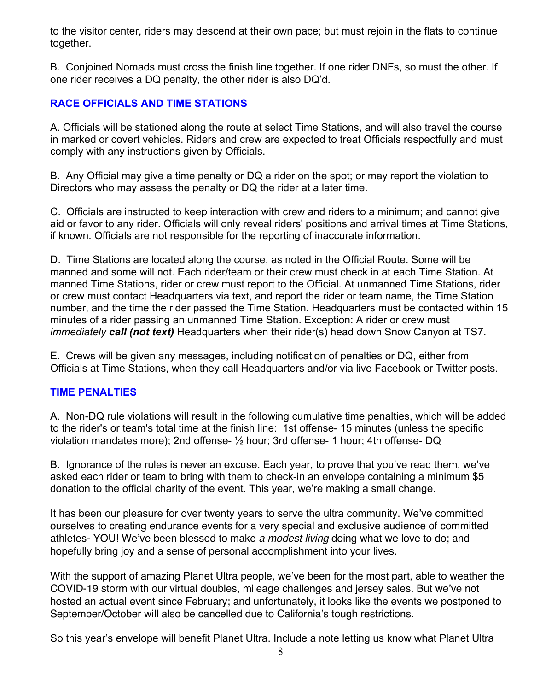to the visitor center, riders may descend at their own pace; but must rejoin in the flats to continue together.

B. Conjoined Nomads must cross the finish line together. If one rider DNFs, so must the other. If one rider receives a DQ penalty, the other rider is also DQ'd.

## **RACE OFFICIALS AND TIME STATIONS**

A. Officials will be stationed along the route at select Time Stations, and will also travel the course in marked or covert vehicles. Riders and crew are expected to treat Officials respectfully and must comply with any instructions given by Officials.

B. Any Official may give a time penalty or DQ a rider on the spot; or may report the violation to Directors who may assess the penalty or DQ the rider at a later time.

C. Officials are instructed to keep interaction with crew and riders to a minimum; and cannot give aid or favor to any rider. Officials will only reveal riders' positions and arrival times at Time Stations, if known. Officials are not responsible for the reporting of inaccurate information.

D. Time Stations are located along the course, as noted in the Official Route. Some will be manned and some will not. Each rider/team or their crew must check in at each Time Station. At manned Time Stations, rider or crew must report to the Official. At unmanned Time Stations, rider or crew must contact Headquarters via text, and report the rider or team name, the Time Station number, and the time the rider passed the Time Station. Headquarters must be contacted within 15 minutes of a rider passing an unmanned Time Station. Exception: A rider or crew must *immediately call (not text)* Headquarters when their rider(s) head down Snow Canyon at TS7.

E. Crews will be given any messages, including notification of penalties or DQ, either from Officials at Time Stations, when they call Headquarters and/or via live Facebook or Twitter posts.

### **TIME PENALTIES**

A. Non-DQ rule violations will result in the following cumulative time penalties, which will be added to the rider's or team's total time at the finish line: 1st offense- 15 minutes (unless the specific violation mandates more); 2nd offense- ½ hour; 3rd offense- 1 hour; 4th offense- DQ

B. Ignorance of the rules is never an excuse. Each year, to prove that you've read them, we've asked each rider or team to bring with them to check-in an envelope containing a minimum \$5 donation to the official charity of the event. This year, we're making a small change.

It has been our pleasure for over twenty years to serve the ultra community. We've committed ourselves to creating endurance events for a very special and exclusive audience of committed athletes- YOU! We've been blessed to make *a modest living* doing what we love to do; and hopefully bring joy and a sense of personal accomplishment into your lives.

With the support of amazing Planet Ultra people, we've been for the most part, able to weather the COVID-19 storm with our virtual doubles, mileage challenges and jersey sales. But we've not hosted an actual event since February; and unfortunately, it looks like the events we postponed to September/October will also be cancelled due to California's tough restrictions.

So this year's envelope will benefit Planet Ultra. Include a note letting us know what Planet Ultra